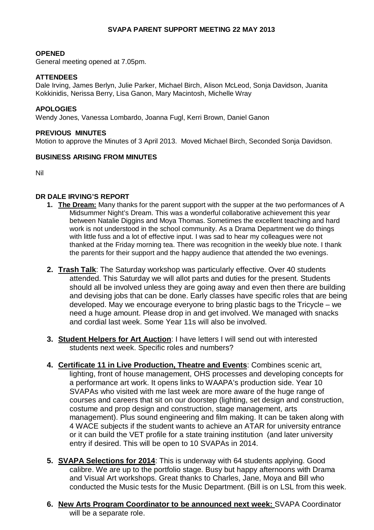# **SVAPA PARENT SUPPORT MEETING 22 MAY 2013**

#### **OPENED**

General meeting opened at 7.05pm.

### **ATTENDEES**

Dale Irving, James Berlyn, Julie Parker, Michael Birch, Alison McLeod, Sonja Davidson, Juanita Kokkinidis, Nerissa Berry, Lisa Ganon, Mary Macintosh, Michelle Wray

### **APOLOGIES**

Wendy Jones, Vanessa Lombardo, Joanna Fugl, Kerri Brown, Daniel Ganon

#### **PREVIOUS MINUTES**

Motion to approve the Minutes of 3 April 2013. Moved Michael Birch, Seconded Sonja Davidson.

### **BUSINESS ARISING FROM MINUTES**

Nil

# **DR DALE IRVING'S REPORT**

- **1. The Dream:** Many thanks for the parent support with the supper at the two performances of A Midsummer Night's Dream. This was a wonderful collaborative achievement this year between Natalie Diggins and Moya Thomas. Sometimes the excellent teaching and hard work is not understood in the school community. As a Drama Department we do things with little fuss and a lot of effective input. I was sad to hear my colleagues were not thanked at the Friday morning tea. There was recognition in the weekly blue note. I thank the parents for their support and the happy audience that attended the two evenings.
- **2. Trash Talk**: The Saturday workshop was particularly effective. Over 40 students attended. This Saturday we will allot parts and duties for the present. Students should all be involved unless they are going away and even then there are building and devising jobs that can be done. Early classes have specific roles that are being developed. May we encourage everyone to bring plastic bags to the Tricycle – we need a huge amount. Please drop in and get involved. We managed with snacks and cordial last week. Some Year 11s will also be involved.
- **3. Student Helpers for Art Auction**: I have letters I will send out with interested students next week. Specific roles and numbers?
- **4. Certificate 11 in Live Production, Theatre and Events**: Combines scenic art, lighting, front of house management, OHS processes and developing concepts for a performance art work. It opens links to WAAPA's production side. Year 10 SVAPAs who visited with me last week are more aware of the huge range of courses and careers that sit on our doorstep (lighting, set design and construction, costume and prop design and construction, stage management, arts management). Plus sound engineering and film making. It can be taken along with 4 WACE subjects if the student wants to achieve an ATAR for university entrance or it can build the VET profile for a state training institution (and later university entry if desired. This will be open to 10 SVAPAs in 2014.
- **5. SVAPA Selections for 2014**: This is underway with 64 students applying. Good calibre. We are up to the portfolio stage. Busy but happy afternoons with Drama and Visual Art workshops. Great thanks to Charles, Jane, Moya and Bill who conducted the Music tests for the Music Department. (Bill is on LSL from this week.
- **6. New Arts Program Coordinator to be announced next week:** SVAPA Coordinator will be a separate role.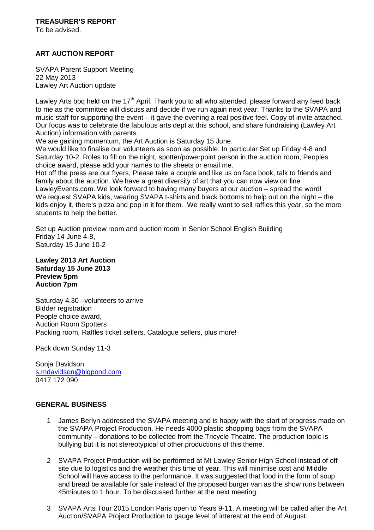To be advised.

# **ART AUCTION REPORT**

SVAPA Parent Support Meeting 22 May 2013 Lawley Art Auction update

Lawley Arts bbq held on the  $17<sup>th</sup>$  April. Thank you to all who attended, please forward any feed back to me as the committee will discuss and decide if we run again next year. Thanks to the SVAPA and music staff for supporting the event – it gave the evening a real positive feel. Copy of invite attached. Our focus was to celebrate the fabulous arts dept at this school, and share fundraising (Lawley Art Auction) information with parents.

We are gaining momentum, the Art Auction is Saturday 15 June.

We would like to finalise our volunteers as soon as possible. In particular Set up Friday 4-8 and Saturday 10-2. Roles to fill on the night, spotter/powerpoint person in the auction room, Peoples choice award, please add your names to the sheets or email me.

Hot off the press are our flyers, Please take a couple and like us on face book, talk to friends and family about the auction. We have a great diversity of art that you can now view on line LawleyEvents.com. We look forward to having many buyers at our auction – spread the word! We request SVAPA kids, wearing SVAPA t-shirts and black bottoms to help out on the night – the kids enjoy it, there's pizza and pop in it for them. We really want to sell raffles this year, so the more students to help the better.

Set up Auction preview room and auction room in Senior School English Building Friday 14 June 4-8, Saturday 15 June 10-2

**Lawley 2013 Art Auction Saturday 15 June 2013 Preview 5pm Auction 7pm** 

Saturday 4.30 –volunteers to arrive Bidder registration People choice award, Auction Room Spotters Packing room, Raffles ticket sellers, Catalogue sellers, plus more!

Pack down Sunday 11-3

Sonja Davidson s.mdavidson@bigpond.com 0417 172 090

# **GENERAL BUSINESS**

- 1 James Berlyn addressed the SVAPA meeting and is happy with the start of progress made on the SVAPA Project Production. He needs 4000 plastic shopping bags from the SVAPA community – donations to be collected from the Tricycle Theatre. The production topic is bullying but it is not stereotypical of other productions of this theme.
- 2 SVAPA Project Production will be performed at Mt Lawley Senior High School instead of off site due to logistics and the weather this time of year. This will minimise cost and Middle School will have access to the performance. It was suggested that food in the form of soup and bread be available for sale instead of the proposed burger van as the show runs between 45minutes to 1 hour. To be discussed further at the next meeting.
- 3 SVAPA Arts Tour 2015 London Paris open to Years 9-11. A meeting will be called after the Art Auction/SVAPA Project Production to gauge level of interest at the end of August.